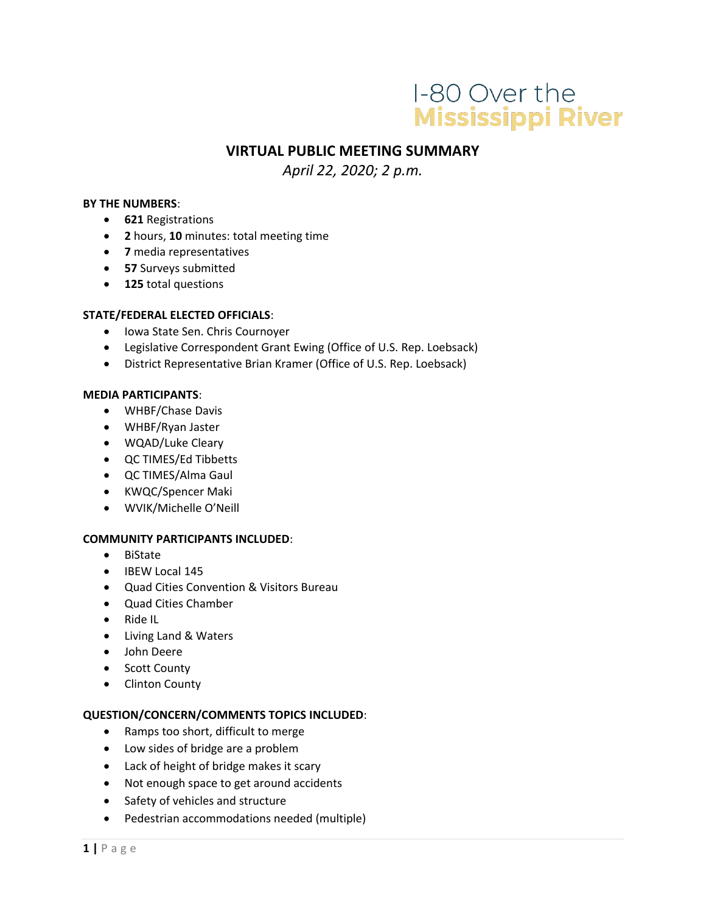# I-80 Over the **Mississippi River**

# **VIRTUAL PUBLIC MEETING SUMMARY**

*April 22, 2020; 2 p.m.*

#### **BY THE NUMBERS**:

- **621** Registrations
- **2** hours, **10** minutes: total meeting time
- **7** media representatives
- **57** Surveys submitted
- **125** total questions

#### **STATE/FEDERAL ELECTED OFFICIALS**:

- Iowa State Sen. Chris Cournoyer
- Legislative Correspondent Grant Ewing (Office of U.S. Rep. Loebsack)
- District Representative Brian Kramer (Office of U.S. Rep. Loebsack)

#### **MEDIA PARTICIPANTS**:

- WHBF/Chase Davis
- WHBF/Ryan Jaster
- WQAD/Luke Cleary
- QC TIMES/Ed Tibbetts
- QC TIMES/Alma Gaul
- KWQC/Spencer Maki
- WVIK/Michelle O'Neill

#### **COMMUNITY PARTICIPANTS INCLUDED**:

- BiState
- IBEW Local 145
- Quad Cities Convention & Visitors Bureau
- Quad Cities Chamber
- Ride IL
- Living Land & Waters
- John Deere
- Scott County
- Clinton County

#### **QUESTION/CONCERN/COMMENTS TOPICS INCLUDED**:

- Ramps too short, difficult to merge
- Low sides of bridge are a problem
- Lack of height of bridge makes it scary
- Not enough space to get around accidents
- Safety of vehicles and structure
- Pedestrian accommodations needed (multiple)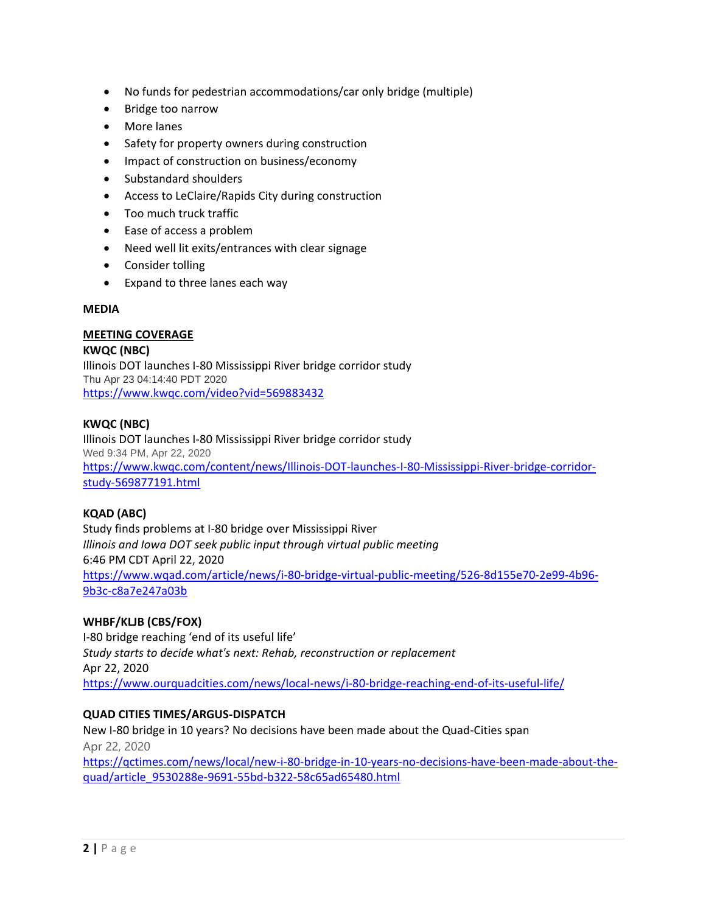- No funds for pedestrian accommodations/car only bridge (multiple)
- Bridge too narrow
- More lanes
- Safety for property owners during construction
- Impact of construction on business/economy
- Substandard shoulders
- Access to LeClaire/Rapids City during construction
- Too much truck traffic
- Ease of access a problem
- Need well lit exits/entrances with clear signage
- Consider tolling
- Expand to three lanes each way

#### **MEDIA**

#### **MEETING COVERAGE**

**KWQC (NBC)** Illinois DOT launches I-80 Mississippi River bridge corridor study Thu Apr 23 04:14:40 PDT 2020 <https://www.kwqc.com/video?vid=569883432>

#### **KWQC (NBC)**

Illinois DOT launches I-80 Mississippi River bridge corridor study Wed 9:34 PM, Apr 22, 2020 [https://www.kwqc.com/content/news/Illinois-DOT-launches-I-80-Mississippi-River-bridge-corridor](https://www.kwqc.com/content/news/Illinois-DOT-launches-I-80-Mississippi-River-bridge-corridor-study-569877191.html)[study-569877191.html](https://www.kwqc.com/content/news/Illinois-DOT-launches-I-80-Mississippi-River-bridge-corridor-study-569877191.html)

#### **KQAD (ABC)**

Study finds problems at I-80 bridge over Mississippi River *Illinois and Iowa DOT seek public input through virtual public meeting* 6:46 PM CDT April 22, 2020 [https://www.wqad.com/article/news/i-80-bridge-virtual-public-meeting/526-8d155e70-2e99-4b96-](https://www.wqad.com/article/news/i-80-bridge-virtual-public-meeting/526-8d155e70-2e99-4b96-9b3c-c8a7e247a03b) [9b3c-c8a7e247a03b](https://www.wqad.com/article/news/i-80-bridge-virtual-public-meeting/526-8d155e70-2e99-4b96-9b3c-c8a7e247a03b)

#### **WHBF/KLJB (CBS/FOX)**

I-80 bridge reaching 'end of its useful life' *Study starts to decide what's next: Rehab, reconstruction or replacement* Apr 22, 2020 <https://www.ourquadcities.com/news/local-news/i-80-bridge-reaching-end-of-its-useful-life/>

#### **QUAD CITIES TIMES/ARGUS-DISPATCH**

New I-80 bridge in 10 years? No decisions have been made about the Quad-Cities span Apr 22, 2020 [https://qctimes.com/news/local/new-i-80-bridge-in-10-years-no-decisions-have-been-made-about-the](https://qctimes.com/news/local/new-i-80-bridge-in-10-years-no-decisions-have-been-made-about-the-quad/article_9530288e-9691-55bd-b322-58c65ad65480.html)[quad/article\\_9530288e-9691-55bd-b322-58c65ad65480.html](https://qctimes.com/news/local/new-i-80-bridge-in-10-years-no-decisions-have-been-made-about-the-quad/article_9530288e-9691-55bd-b322-58c65ad65480.html)